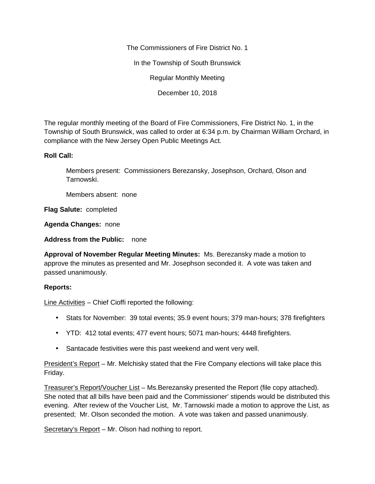The Commissioners of Fire District No. 1

In the Township of South Brunswick

Regular Monthly Meeting

December 10, 2018

The regular monthly meeting of the Board of Fire Commissioners, Fire District No. 1, in the Township of South Brunswick, was called to order at 6:34 p.m. by Chairman William Orchard, in compliance with the New Jersey Open Public Meetings Act.

## **Roll Call:**

Members present: Commissioners Berezansky, Josephson, Orchard, Olson and Tarnowski.

Members absent: none

**Flag Salute:** completed

**Agenda Changes:** none

**Address from the Public:** none

**Approval of November Regular Meeting Minutes:** Ms. Berezansky made a motion to approve the minutes as presented and Mr. Josephson seconded it. A vote was taken and passed unanimously.

## **Reports:**

Line Activities – Chief Cioffi reported the following:

- Stats for November: 39 total events; 35.9 event hours; 379 man-hours; 378 firefighters
- YTD: 412 total events; 477 event hours; 5071 man-hours; 4448 firefighters.
- Santacade festivities were this past weekend and went very well.

President's Report – Mr. Melchisky stated that the Fire Company elections will take place this Friday.

Treasurer's Report/Voucher List – Ms.Berezansky presented the Report (file copy attached). She noted that all bills have been paid and the Commissioner' stipends would be distributed this evening. After review of the Voucher List, Mr. Tarnowski made a motion to approve the List, as presented; Mr. Olson seconded the motion. A vote was taken and passed unanimously.

Secretary's Report – Mr. Olson had nothing to report.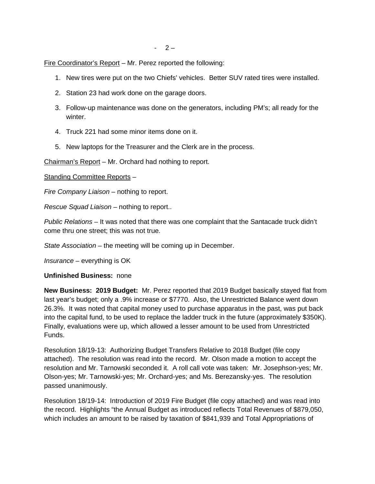Fire Coordinator's Report – Mr. Perez reported the following:

- 1. New tires were put on the two Chiefs' vehicles. Better SUV rated tires were installed.
- 2. Station 23 had work done on the garage doors.
- 3. Follow-up maintenance was done on the generators, including PM's; all ready for the winter.
- 4. Truck 221 had some minor items done on it.
- 5. New laptops for the Treasurer and the Clerk are in the process.

Chairman's Report – Mr. Orchard had nothing to report.

Standing Committee Reports –

*Fire Company Liaison –* nothing to report.

*Rescue Squad Liaison –* nothing to report..

*Public Relations –* It was noted that there was one complaint that the Santacade truck didn't come thru one street; this was not true.

*State Association –* the meeting will be coming up in December.

*Insurance –* everything is OK

## **Unfinished Business:** none

**New Business: 2019 Budget:** Mr. Perez reported that 2019 Budget basically stayed flat from last year's budget; only a .9% increase or \$7770. Also, the Unrestricted Balance went down 26.3%. It was noted that capital money used to purchase apparatus in the past, was put back into the capital fund, to be used to replace the ladder truck in the future (approximately \$350K). Finally, evaluations were up, which allowed a lesser amount to be used from Unrestricted Funds.

Resolution 18/19-13: Authorizing Budget Transfers Relative to 2018 Budget (file copy attached). The resolution was read into the record. Mr. Olson made a motion to accept the resolution and Mr. Tarnowski seconded it. A roll call vote was taken: Mr. Josephson-yes; Mr. Olson-yes; Mr. Tarnowski-yes; Mr. Orchard-yes; and Ms. Berezansky-yes. The resolution passed unanimously.

Resolution 18/19-14: Introduction of 2019 Fire Budget (file copy attached) and was read into the record. Highlights "the Annual Budget as introduced reflects Total Revenues of \$879,050, which includes an amount to be raised by taxation of \$841,939 and Total Appropriations of